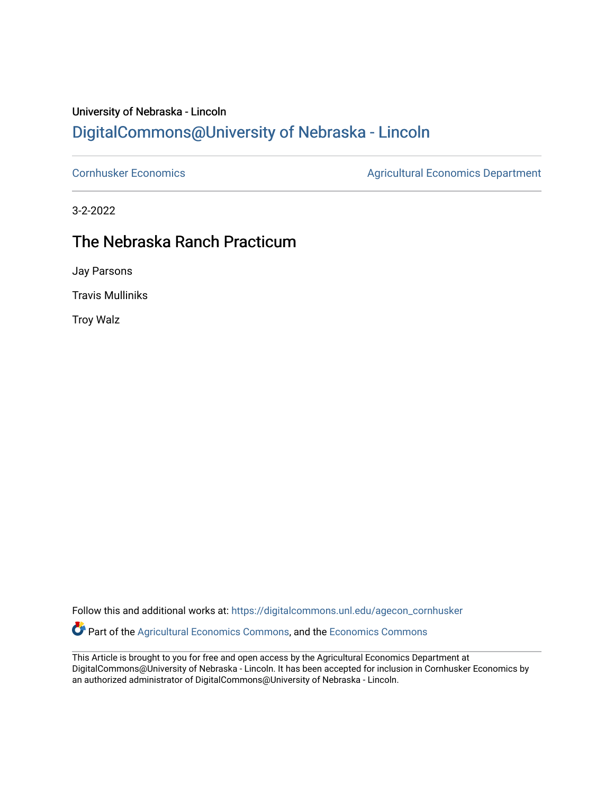## University of Nebraska - Lincoln [DigitalCommons@University of Nebraska - Lincoln](https://digitalcommons.unl.edu/)

[Cornhusker Economics](https://digitalcommons.unl.edu/agecon_cornhusker) **Agricultural Economics** Department

3-2-2022

## The Nebraska Ranch Practicum

Jay Parsons

Travis Mulliniks

Troy Walz

Follow this and additional works at: [https://digitalcommons.unl.edu/agecon\\_cornhusker](https://digitalcommons.unl.edu/agecon_cornhusker?utm_source=digitalcommons.unl.edu%2Fagecon_cornhusker%2F1138&utm_medium=PDF&utm_campaign=PDFCoverPages) 

Part of the [Agricultural Economics Commons,](http://network.bepress.com/hgg/discipline/1225?utm_source=digitalcommons.unl.edu%2Fagecon_cornhusker%2F1138&utm_medium=PDF&utm_campaign=PDFCoverPages) and the [Economics Commons](http://network.bepress.com/hgg/discipline/340?utm_source=digitalcommons.unl.edu%2Fagecon_cornhusker%2F1138&utm_medium=PDF&utm_campaign=PDFCoverPages) 

This Article is brought to you for free and open access by the Agricultural Economics Department at DigitalCommons@University of Nebraska - Lincoln. It has been accepted for inclusion in Cornhusker Economics by an authorized administrator of DigitalCommons@University of Nebraska - Lincoln.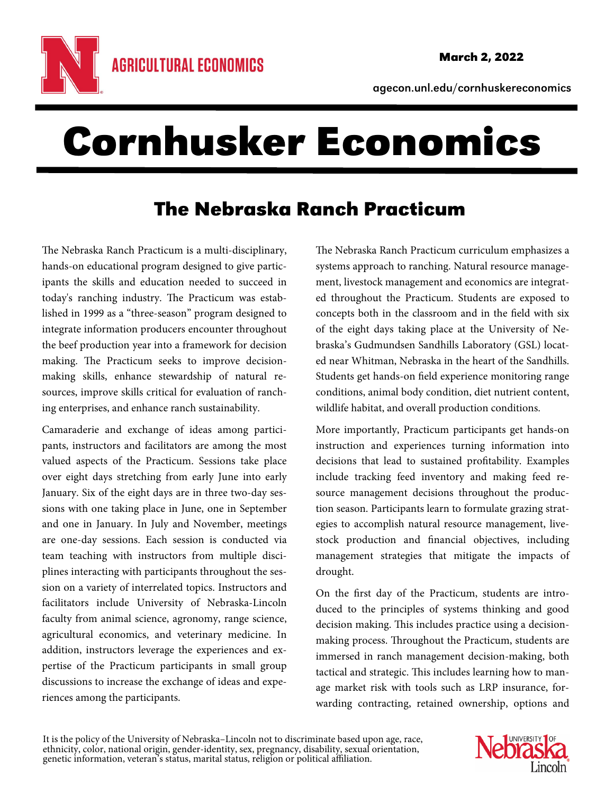

agecon.unl.edu/cornhuskereconomics

## Cornhusker Economics

## The Nebraska Ranch Practicum

The Nebraska Ranch Practicum is a multi-disciplinary, hands-on educational program designed to give participants the skills and education needed to succeed in today's ranching industry. The Practicum was established in 1999 as a "three-season" program designed to integrate information producers encounter throughout the beef production year into a framework for decision making. The Practicum seeks to improve decisionmaking skills, enhance stewardship of natural resources, improve skills critical for evaluation of ranching enterprises, and enhance ranch sustainability.

Camaraderie and exchange of ideas among participants, instructors and facilitators are among the most valued aspects of the Practicum. Sessions take place over eight days stretching from early June into early January. Six of the eight days are in three two-day sessions with one taking place in June, one in September and one in January. In July and November, meetings are one-day sessions. Each session is conducted via team teaching with instructors from multiple disciplines interacting with participants throughout the session on a variety of interrelated topics. Instructors and facilitators include University of Nebraska-Lincoln faculty from animal science, agronomy, range science, agricultural economics, and veterinary medicine. In addition, instructors leverage the experiences and expertise of the Practicum participants in small group discussions to increase the exchange of ideas and experiences among the participants.

The Nebraska Ranch Practicum curriculum emphasizes a systems approach to ranching. Natural resource management, livestock management and economics are integrated throughout the Practicum. Students are exposed to concepts both in the classroom and in the field with six of the eight days taking place at the University of Nebraska's Gudmundsen Sandhills Laboratory (GSL) located near Whitman, Nebraska in the heart of the Sandhills. Students get hands-on field experience monitoring range conditions, animal body condition, diet nutrient content, wildlife habitat, and overall production conditions.

More importantly, Practicum participants get hands-on instruction and experiences turning information into decisions that lead to sustained profitability. Examples include tracking feed inventory and making feed resource management decisions throughout the production season. Participants learn to formulate grazing strategies to accomplish natural resource management, livestock production and financial objectives, including management strategies that mitigate the impacts of drought.

On the first day of the Practicum, students are introduced to the principles of systems thinking and good decision making. This includes practice using a decisionmaking process. Throughout the Practicum, students are immersed in ranch management decision-making, both tactical and strategic. This includes learning how to manage market risk with tools such as LRP insurance, forwarding contracting, retained ownership, options and

It is the policy of the University of Nebraska–Lincoln not to discriminate based upon age, race, ethnicity, color, national origin, gender-identity, sex, pregnancy, disability, sexual orientation, genetic information, vete

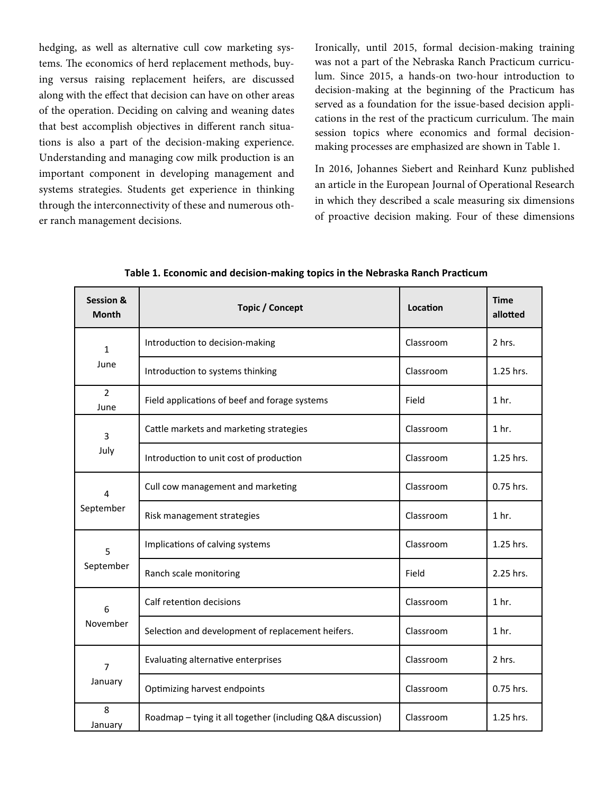hedging, as well as alternative cull cow marketing systems. The economics of herd replacement methods, buying versus raising replacement heifers, are discussed along with the effect that decision can have on other areas of the operation. Deciding on calving and weaning dates that best accomplish objectives in different ranch situations is also a part of the decision-making experience. Understanding and managing cow milk production is an important component in developing management and systems strategies. Students get experience in thinking through the interconnectivity of these and numerous other ranch management decisions.

Ironically, until 2015, formal decision-making training was not a part of the Nebraska Ranch Practicum curriculum. Since 2015, a hands-on two-hour introduction to decision-making at the beginning of the Practicum has served as a foundation for the issue-based decision applications in the rest of the practicum curriculum. The main session topics where economics and formal decisionmaking processes are emphasized are shown in Table 1.

In 2016, Johannes Siebert and Reinhard Kunz published an article in the European Journal of Operational Research in which they described a scale measuring six dimensions of proactive decision making. Four of these dimensions

| <b>Session &amp;</b><br><b>Month</b> | <b>Topic / Concept</b>                                     | Location  | <b>Time</b><br>allotted |
|--------------------------------------|------------------------------------------------------------|-----------|-------------------------|
| $\mathbf{1}$<br>June                 | Introduction to decision-making                            | Classroom | 2 hrs.                  |
|                                      | Introduction to systems thinking                           | Classroom | 1.25 hrs.               |
| $\overline{2}$<br>June               | Field applications of beef and forage systems              | Field     | 1 <sub>hr.</sub>        |
| 3<br>July                            | Cattle markets and marketing strategies                    | Classroom | 1 <sub>hr.</sub>        |
|                                      | Introduction to unit cost of production                    | Classroom | 1.25 hrs.               |
| 4<br>September                       | Cull cow management and marketing                          | Classroom | 0.75 hrs.               |
|                                      | Risk management strategies                                 | Classroom | 1 <sub>hr.</sub>        |
| 5<br>September                       | Implications of calving systems                            | Classroom | 1.25 hrs.               |
|                                      | Ranch scale monitoring                                     | Field     | 2.25 hrs.               |
| 6<br>November                        | Calf retention decisions                                   | Classroom | 1 <sub>hr.</sub>        |
|                                      | Selection and development of replacement heifers.          | Classroom | 1 <sub>hr.</sub>        |
| $\overline{7}$<br>January            | Evaluating alternative enterprises                         | Classroom | 2 hrs.                  |
|                                      | Optimizing harvest endpoints                               | Classroom | 0.75 hrs.               |
| 8<br>January                         | Roadmap - tying it all together (including Q&A discussion) | Classroom | 1.25 hrs.               |

**Table 1. Economic and decision‐making topics in the Nebraska Ranch PracƟcum**